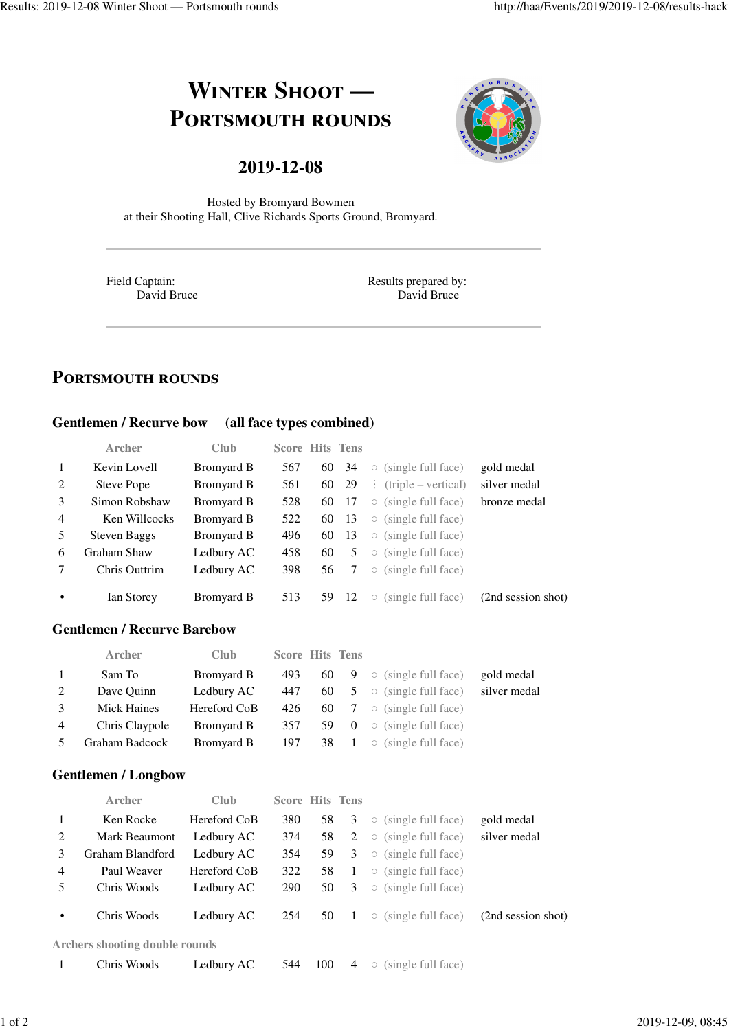# **WINTER SHOOT** — **PORTSMOUTH ROUNDS**



# **2019-12-08**

Hosted by Bromyard Bowmen at their Shooting Hall, Clive Richards Sports Ground, Bromyard.

Field Captain: David Bruce Results prepared by: David Bruce

# **PORTSMOUTH ROUNDS**

#### **Gentlemen / Recurve bow (all face types combined)**

|                | <b>Archer</b>       | <b>Club</b> | <b>Score Hits Tens</b> |     |     |                                           |                    |
|----------------|---------------------|-------------|------------------------|-----|-----|-------------------------------------------|--------------------|
| $\mathbf{1}$   | Kevin Lovell        | Bromyard B  | 567                    | 60  | 34  | $\circ$ (single full face)                | gold medal         |
| 2              | Steve Pope          | Bromyard B  | 561                    | 60  | 29  | $\therefore$ (triple – vertical)          | silver medal       |
| 3              | Simon Robshaw       | Bromyard B  | 528                    | 60  | -17 | (single full face)<br>$\bigcirc$          | bronze medal       |
| $\overline{4}$ | Ken Willcocks       | Bromyard B  | 522                    | 60  | -13 | (single full face)<br>$\bigcirc$          |                    |
| .5             | <b>Steven Baggs</b> | Bromyard B  | 496                    | 60  | 13  | (single full face)<br>$\circlearrowright$ |                    |
| 6              | Graham Shaw         | Ledbury AC  | 458                    | 60  | 5   | (single full face)<br>$\circlearrowright$ |                    |
|                | Chris Outtrim       | Ledbury AC  | 398                    | 56  |     | (single full face)<br>$\bigcirc$          |                    |
| $\bullet$      | Ian Storey          | Bromyard B  | 513                    | 59. | 12  | (single full face)<br>$\circ$             | (2nd session shot) |

#### **Gentlemen / Recurve Barebow**

| <b>Archer</b>  | Club         |     |    |                                    |                                                                                                                                                                     |
|----------------|--------------|-----|----|------------------------------------|---------------------------------------------------------------------------------------------------------------------------------------------------------------------|
| Sam To         | Bromyard B   | 493 |    |                                    | gold medal                                                                                                                                                          |
| Dave Ouinn     | Ledbury AC   | 447 | 60 |                                    | silver medal                                                                                                                                                        |
| Mick Haines    | Hereford CoB | 426 | 60 |                                    |                                                                                                                                                                     |
| Chris Claypole | Bromyard B   | 357 | 59 |                                    |                                                                                                                                                                     |
| Graham Badcock | Bromyard B   | 197 |    |                                    |                                                                                                                                                                     |
|                |              |     |    | <b>Score Hits Tens</b><br>60<br>38 | <b>9</b> $\circ$ (single full face)<br>$5 \circ$ (single full face)<br>$7 \circ$ (single full face)<br>$0 \circ$ (single full face)<br>$1 \circ$ (single full face) |

#### **Gentlemen / Longbow**

|           | Archer                                | Club         | <b>Score Hits Tens</b> |     |                |                                           |                    |
|-----------|---------------------------------------|--------------|------------------------|-----|----------------|-------------------------------------------|--------------------|
|           | Ken Rocke                             | Hereford CoB | 380                    | 58  | 3              | $\circ$ (single full face)                | gold medal         |
| 2         | Mark Beaumont                         | Ledbury AC   | 374                    | 58  |                | $2 \circ$ (single full face)              | silver medal       |
| 3         | Graham Blandford                      | Ledbury AC   | 354                    | 59  | 3              | (single full face)<br>$\circlearrowright$ |                    |
| 4         | Paul Weaver                           | Hereford CoB | 322                    | 58  | $\overline{1}$ | $\circ$ (single full face)                |                    |
| 5         | Chris Woods                           | Ledbury AC   | 290                    | 50  | 3              | $\circ$ (single full face)                |                    |
| $\bullet$ | Chris Woods                           | Ledbury AC   | 254                    | 50  | $\mathbf{1}$   | $\circ$ (single full face)                | (2nd session shot) |
|           | <b>Archers shooting double rounds</b> |              |                        |     |                |                                           |                    |
|           | Chris Woods                           | Ledbury AC   | 544                    | 100 | 4              | (single full face)<br>$\circlearrowright$ |                    |